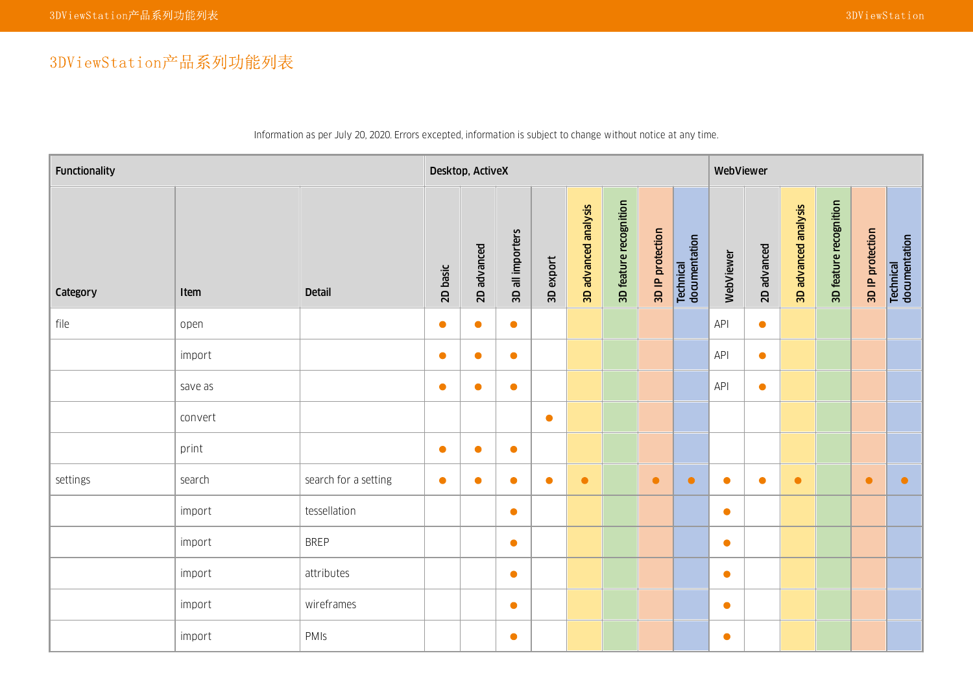## 3DViewStation产品系列功能列表

| Functionality |         |                      |           | Desktop, ActiveX |                  |           |                      |                        |                  |                            | WebViewer |             |                      |                        |                  |                            |
|---------------|---------|----------------------|-----------|------------------|------------------|-----------|----------------------|------------------------|------------------|----------------------------|-----------|-------------|----------------------|------------------------|------------------|----------------------------|
| Category      | Item    | <b>Detail</b>        | 2D basic  | 2D advanced      | 3D all importers | 3D export | 3D advanced analysis | 3D feature recognition | 3D IP protection | Technical<br>documentation | WebViewer | 2D advanced | 3D advanced analysis | 3D feature recognition | 3D IP protection | Technical<br>documentation |
| file          | open    |                      | $\bullet$ | $\bullet$        | $\bullet$        |           |                      |                        |                  |                            | API       | $\bullet$   |                      |                        |                  |                            |
|               | import  |                      | $\bullet$ | $\bullet$        | $\bullet$        |           |                      |                        |                  |                            | API       | $\bullet$   |                      |                        |                  |                            |
|               | save as |                      | $\bullet$ | $\bullet$        | $\bullet$        |           |                      |                        |                  |                            | API       | $\bullet$   |                      |                        |                  |                            |
|               | convert |                      |           |                  |                  | $\bullet$ |                      |                        |                  |                            |           |             |                      |                        |                  |                            |
|               | print   |                      | $\bullet$ | $\bullet$        | $\bullet$        |           |                      |                        |                  |                            |           |             |                      |                        |                  |                            |
| settings      | search  | search for a setting | $\bullet$ | $\bullet$        | $\bullet$        | $\bullet$ | $\bullet$            |                        | $\bullet$        | $\bullet$                  | $\bullet$ | $\bullet$   | $\bullet$            |                        | $\bullet$        | $\bullet$                  |
|               | import  | tessellation         |           |                  | $\bullet$        |           |                      |                        |                  |                            | $\bullet$ |             |                      |                        |                  |                            |
|               | import  | <b>BREP</b>          |           |                  | $\bullet$        |           |                      |                        |                  |                            | $\bullet$ |             |                      |                        |                  |                            |
|               | import  | attributes           |           |                  | $\bullet$        |           |                      |                        |                  |                            | $\bullet$ |             |                      |                        |                  |                            |
|               | import  | wireframes           |           |                  | $\bullet$        |           |                      |                        |                  |                            | $\bullet$ |             |                      |                        |                  |                            |
|               | import  | PMIS                 |           |                  | $\bullet$        |           |                      |                        |                  |                            | $\bullet$ |             |                      |                        |                  |                            |

Information as per July 20, 2020. Errors excepted, information is subject to change without notice at any time.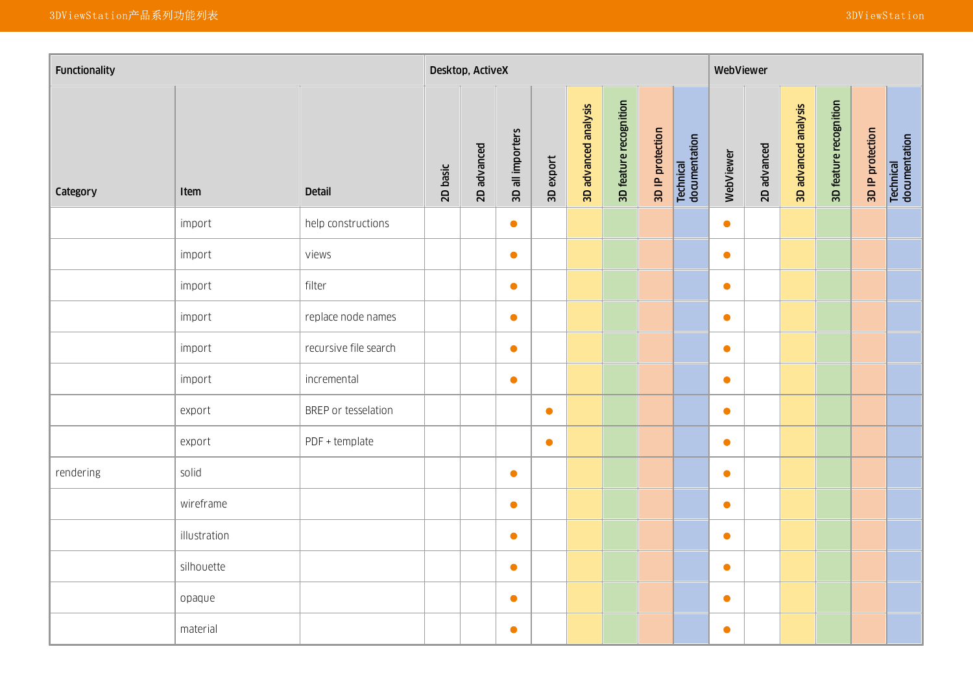| Functionality |              |                       |          |             | Desktop, ActiveX |           |                      |                        |                  |                            | WebViewer |             |                      |                        |                  |                            |
|---------------|--------------|-----------------------|----------|-------------|------------------|-----------|----------------------|------------------------|------------------|----------------------------|-----------|-------------|----------------------|------------------------|------------------|----------------------------|
| Category      | Item         | <b>Detail</b>         | 2D basic | 2D advanced | 3D all importers | 3D export | 3D advanced analysis | 3D feature recognition | 3D IP protection | Technical<br>documentation | WebViewer | 2D advanced | 3D advanced analysis | 3D feature recognition | 3D IP protection | Technical<br>documentation |
|               | import       | help constructions    |          |             | $\bullet$        |           |                      |                        |                  |                            | $\bullet$ |             |                      |                        |                  |                            |
|               | import       | views                 |          |             | $\bullet$        |           |                      |                        |                  |                            | $\bullet$ |             |                      |                        |                  |                            |
|               | import       | filter                |          |             | $\bullet$        |           |                      |                        |                  |                            | $\bullet$ |             |                      |                        |                  |                            |
|               | import       | replace node names    |          |             | $\bullet$        |           |                      |                        |                  |                            | $\bullet$ |             |                      |                        |                  |                            |
|               | import       | recursive file search |          |             | $\bullet$        |           |                      |                        |                  |                            | $\bullet$ |             |                      |                        |                  |                            |
|               | import       | incremental           |          |             | $\bullet$        |           |                      |                        |                  |                            | $\bullet$ |             |                      |                        |                  |                            |
|               | export       | BREP or tesselation   |          |             |                  | $\bullet$ |                      |                        |                  |                            | $\bullet$ |             |                      |                        |                  |                            |
|               | export       | PDF + template        |          |             |                  | $\bullet$ |                      |                        |                  |                            | $\bullet$ |             |                      |                        |                  |                            |
| rendering     | solid        |                       |          |             | $\bullet$        |           |                      |                        |                  |                            | $\bullet$ |             |                      |                        |                  |                            |
|               | wireframe    |                       |          |             | $\bullet$        |           |                      |                        |                  |                            | $\bullet$ |             |                      |                        |                  |                            |
|               | illustration |                       |          |             | $\bullet$        |           |                      |                        |                  |                            | $\bullet$ |             |                      |                        |                  |                            |
|               | silhouette   |                       |          |             | $\bullet$        |           |                      |                        |                  |                            | $\bullet$ |             |                      |                        |                  |                            |
|               | opaque       |                       |          |             | $\bullet$        |           |                      |                        |                  |                            | $\bullet$ |             |                      |                        |                  |                            |
|               | material     |                       |          |             | $\bullet$        |           |                      |                        |                  |                            | $\bullet$ |             |                      |                        |                  |                            |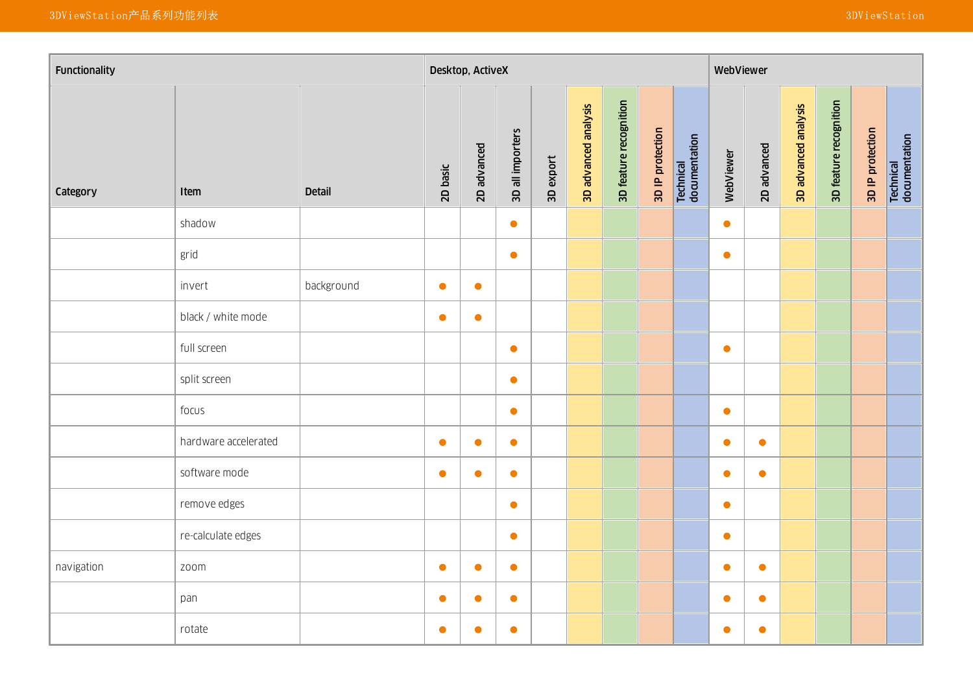| Functionality |                      |               |           |             |                  |           |                      |                        |                  |                            | WebViewer |             |                      |                        |                  |                            |
|---------------|----------------------|---------------|-----------|-------------|------------------|-----------|----------------------|------------------------|------------------|----------------------------|-----------|-------------|----------------------|------------------------|------------------|----------------------------|
| Category      | Item                 | <b>Detail</b> | 2D basic  | 2D advanced | 3D all importers | 3D export | 3D advanced analysis | 3D feature recognition | 3D IP protection | Technical<br>documentation | WebViewer | 2D advanced | 3D advanced analysis | 3D feature recognition | 3D IP protection | Technical<br>documentation |
|               | shadow               |               |           |             | $\bullet$        |           |                      |                        |                  |                            | $\bullet$ |             |                      |                        |                  |                            |
|               | grid                 |               |           |             | $\bullet$        |           |                      |                        |                  |                            | $\bullet$ |             |                      |                        |                  |                            |
|               | invert               | background    | $\bullet$ | $\bullet$   |                  |           |                      |                        |                  |                            |           |             |                      |                        |                  |                            |
|               | black / white mode   |               | $\bullet$ | $\bullet$   |                  |           |                      |                        |                  |                            |           |             |                      |                        |                  |                            |
|               | full screen          |               |           |             | $\bullet$        |           |                      |                        |                  |                            | $\bullet$ |             |                      |                        |                  |                            |
|               | split screen         |               |           |             | $\bullet$        |           |                      |                        |                  |                            |           |             |                      |                        |                  |                            |
|               | focus                |               |           |             | $\bullet$        |           |                      |                        |                  |                            | $\bullet$ |             |                      |                        |                  |                            |
|               | hardware accelerated |               | $\bullet$ | $\bullet$   | $\bullet$        |           |                      |                        |                  |                            | $\bullet$ | $\bullet$   |                      |                        |                  |                            |
|               | software mode        |               | $\bullet$ | $\bullet$   | $\bullet$        |           |                      |                        |                  |                            | $\bullet$ | $\bullet$   |                      |                        |                  |                            |
|               | remove edges         |               |           |             | $\bullet$        |           |                      |                        |                  |                            | $\bullet$ |             |                      |                        |                  |                            |
|               | re-calculate edges   |               |           |             | $\bullet$        |           |                      |                        |                  |                            | $\bullet$ |             |                      |                        |                  |                            |
| navigation    | zoom                 |               | $\bullet$ | $\bullet$   | $\bullet$        |           |                      |                        |                  |                            | $\bullet$ | $\bullet$   |                      |                        |                  |                            |
|               | pan                  |               | $\bullet$ | $\bullet$   | $\bullet$        |           |                      |                        |                  |                            | $\bullet$ | $\bullet$   |                      |                        |                  |                            |
|               | rotate               |               | $\bullet$ | $\bullet$   | $\bullet$        |           |                      |                        |                  |                            | $\bullet$ | $\bullet$   |                      |                        |                  |                            |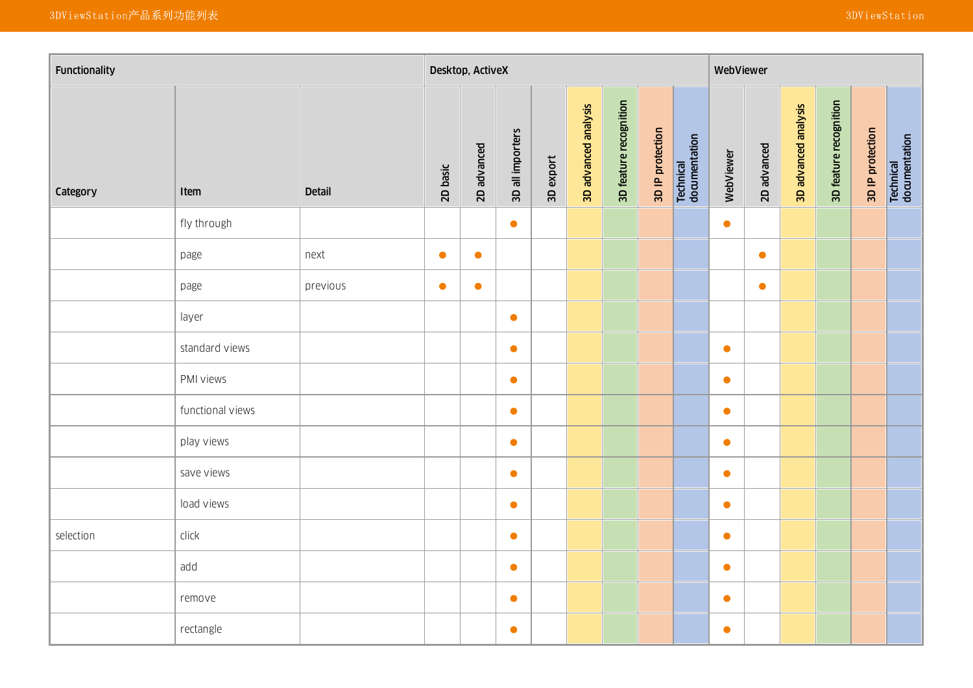| Functionality |                  |               |           | Desktop, ActiveX |                  |           |                      |                        |                  |                            | WebViewer |             |                      |                        |                  |                            |
|---------------|------------------|---------------|-----------|------------------|------------------|-----------|----------------------|------------------------|------------------|----------------------------|-----------|-------------|----------------------|------------------------|------------------|----------------------------|
| Category      | Item             | <b>Detail</b> | 2D basic  | 2D advanced      | 3D all importers | 3D export | 3D advanced analysis | 3D feature recognition | 3D IP protection | Technical<br>documentation | WebViewer | 2D advanced | 3D advanced analysis | 3D feature recognition | 3D IP protection | Technical<br>documentation |
|               | fly through      |               |           |                  | $\bullet$        |           |                      |                        |                  |                            | $\bullet$ |             |                      |                        |                  |                            |
|               | page             | next          | $\bullet$ | $\bullet$        |                  |           |                      |                        |                  |                            |           | $\bullet$   |                      |                        |                  |                            |
|               | page             | previous      | $\bullet$ | $\bullet$        |                  |           |                      |                        |                  |                            |           | $\bullet$   |                      |                        |                  |                            |
|               | layer            |               |           |                  | $\bullet$        |           |                      |                        |                  |                            |           |             |                      |                        |                  |                            |
|               | standard views   |               |           |                  | $\bullet$        |           |                      |                        |                  |                            | $\bullet$ |             |                      |                        |                  |                            |
|               | PMI views        |               |           |                  | $\bullet$        |           |                      |                        |                  |                            | $\bullet$ |             |                      |                        |                  |                            |
|               | functional views |               |           |                  | $\bullet$        |           |                      |                        |                  |                            | $\bullet$ |             |                      |                        |                  |                            |
|               | play views       |               |           |                  | $\bullet$        |           |                      |                        |                  |                            | $\bullet$ |             |                      |                        |                  |                            |
|               | save views       |               |           |                  | $\bullet$        |           |                      |                        |                  |                            | $\bullet$ |             |                      |                        |                  |                            |
|               | load views       |               |           |                  | $\bullet$        |           |                      |                        |                  |                            | $\bullet$ |             |                      |                        |                  |                            |
| selection     | click            |               |           |                  | $\bullet$        |           |                      |                        |                  |                            | $\bullet$ |             |                      |                        |                  |                            |
|               | add              |               |           |                  | $\bullet$        |           |                      |                        |                  |                            | $\bullet$ |             |                      |                        |                  |                            |
|               | remove           |               |           |                  | $\bullet$        |           |                      |                        |                  |                            | $\bullet$ |             |                      |                        |                  |                            |
|               | rectangle        |               |           |                  | $\bullet$        |           |                      |                        |                  |                            | $\bullet$ |             |                      |                        |                  |                            |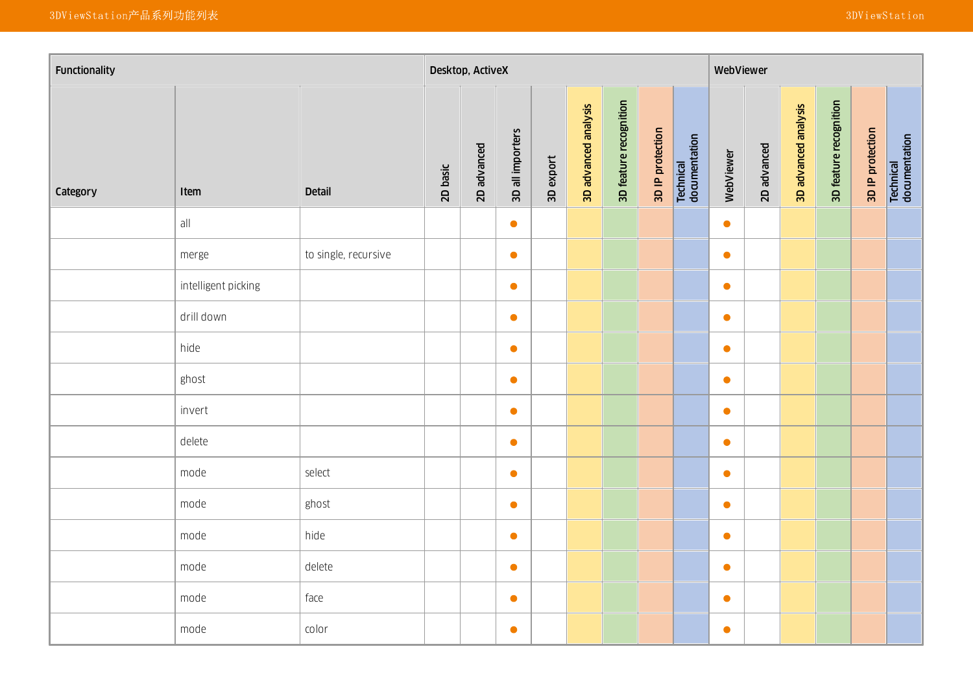| Functionality |                     |                      |          |             |                  |           |                      |                        |                  |                            | WebViewer |             |                      |                        |                  |                            |
|---------------|---------------------|----------------------|----------|-------------|------------------|-----------|----------------------|------------------------|------------------|----------------------------|-----------|-------------|----------------------|------------------------|------------------|----------------------------|
| Category      | Item                | <b>Detail</b>        | 2D basic | 2D advanced | 3D all importers | 3D export | 3D advanced analysis | 3D feature recognition | 3D IP protection | Technical<br>documentation | WebViewer | 2D advanced | 3D advanced analysis | 3D feature recognition | 3D IP protection | Technical<br>documentation |
|               | all                 |                      |          |             | $\bullet$        |           |                      |                        |                  |                            | $\bullet$ |             |                      |                        |                  |                            |
|               | merge               | to single, recursive |          |             | $\bullet$        |           |                      |                        |                  |                            | $\bullet$ |             |                      |                        |                  |                            |
|               | intelligent picking |                      |          |             | $\bullet$        |           |                      |                        |                  |                            | $\bullet$ |             |                      |                        |                  |                            |
|               | drill down          |                      |          |             | $\bullet$        |           |                      |                        |                  |                            | $\bullet$ |             |                      |                        |                  |                            |
|               | hide                |                      |          |             | $\bullet$        |           |                      |                        |                  |                            | $\bullet$ |             |                      |                        |                  |                            |
|               | ghost               |                      |          |             | $\bullet$        |           |                      |                        |                  |                            | $\bullet$ |             |                      |                        |                  |                            |
|               | invert              |                      |          |             | $\bullet$        |           |                      |                        |                  |                            | $\bullet$ |             |                      |                        |                  |                            |
|               | delete              |                      |          |             | $\bullet$        |           |                      |                        |                  |                            | $\bullet$ |             |                      |                        |                  |                            |
|               | mode                | select               |          |             | $\bullet$        |           |                      |                        |                  |                            | $\bullet$ |             |                      |                        |                  |                            |
|               | mode                | ghost                |          |             | $\bullet$        |           |                      |                        |                  |                            | $\bullet$ |             |                      |                        |                  |                            |
|               | mode                | hide                 |          |             | $\bullet$        |           |                      |                        |                  |                            | $\bullet$ |             |                      |                        |                  |                            |
|               | mode                | delete               |          |             | $\bullet$        |           |                      |                        |                  |                            | $\bullet$ |             |                      |                        |                  |                            |
|               | mode                | face                 |          |             | $\bullet$        |           |                      |                        |                  |                            | $\bullet$ |             |                      |                        |                  |                            |
|               | mode                | color                |          |             | $\bullet$        |           |                      |                        |                  |                            | $\bullet$ |             |                      |                        |                  |                            |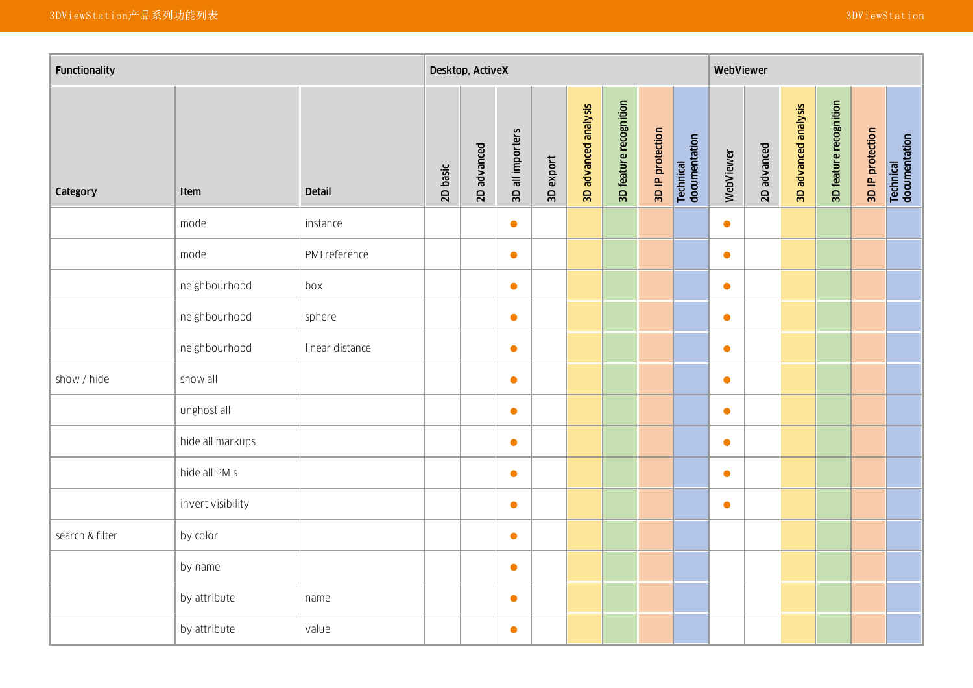| Functionality   |                   |                 |          | Desktop, ActiveX |                  |           |                      |                        |                  |                            | WebViewer |             |                      |                        |                  |                            |
|-----------------|-------------------|-----------------|----------|------------------|------------------|-----------|----------------------|------------------------|------------------|----------------------------|-----------|-------------|----------------------|------------------------|------------------|----------------------------|
| Category        | Item              | <b>Detail</b>   | 2D basic | 2D advanced      | 3D all importers | 3D export | 3D advanced analysis | 3D feature recognition | 3D IP protection | Technical<br>documentation | WebViewer | 2D advanced | 3D advanced analysis | 3D feature recognition | 3D IP protection | Technical<br>documentation |
|                 | mode              | instance        |          |                  | $\bullet$        |           |                      |                        |                  |                            | $\bullet$ |             |                      |                        |                  |                            |
|                 | mode              | PMI reference   |          |                  | $\bullet$        |           |                      |                        |                  |                            | $\bullet$ |             |                      |                        |                  |                            |
|                 | neighbourhood     | box             |          |                  | $\bullet$        |           |                      |                        |                  |                            | $\bullet$ |             |                      |                        |                  |                            |
|                 | neighbourhood     | sphere          |          |                  | $\bullet$        |           |                      |                        |                  |                            | $\bullet$ |             |                      |                        |                  |                            |
|                 | neighbourhood     | linear distance |          |                  | $\bullet$        |           |                      |                        |                  |                            | $\bullet$ |             |                      |                        |                  |                            |
| show / hide     | show all          |                 |          |                  | $\bullet$        |           |                      |                        |                  |                            | $\bullet$ |             |                      |                        |                  |                            |
|                 | unghost all       |                 |          |                  | $\bullet$        |           |                      |                        |                  |                            | $\bullet$ |             |                      |                        |                  |                            |
|                 | hide all markups  |                 |          |                  | $\bullet$        |           |                      |                        |                  |                            | $\bullet$ |             |                      |                        |                  |                            |
|                 | hide all PMIs     |                 |          |                  | $\bullet$        |           |                      |                        |                  |                            | $\bullet$ |             |                      |                        |                  |                            |
|                 | invert visibility |                 |          |                  | $\bullet$        |           |                      |                        |                  |                            | $\bullet$ |             |                      |                        |                  |                            |
| search & filter | by color          |                 |          |                  | $\bullet$        |           |                      |                        |                  |                            |           |             |                      |                        |                  |                            |
|                 | by name           |                 |          |                  | $\bullet$        |           |                      |                        |                  |                            |           |             |                      |                        |                  |                            |
|                 | by attribute      | name            |          |                  | $\bullet$        |           |                      |                        |                  |                            |           |             |                      |                        |                  |                            |
|                 | by attribute      | value           |          |                  | $\bullet$        |           |                      |                        |                  |                            |           |             |                      |                        |                  |                            |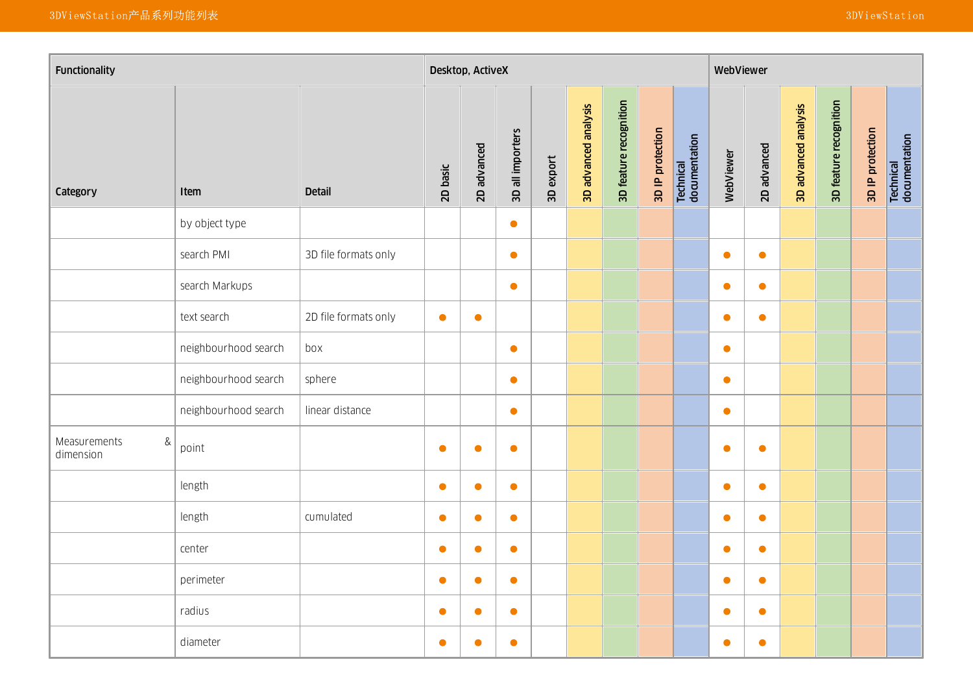| Functionality                  |                      |                      |           |             |                  |           |                      |                        |                  |                            | WebViewer |             |                      |                        |                  |                            |
|--------------------------------|----------------------|----------------------|-----------|-------------|------------------|-----------|----------------------|------------------------|------------------|----------------------------|-----------|-------------|----------------------|------------------------|------------------|----------------------------|
| Category                       | <b>Item</b>          | <b>Detail</b>        | 2D basic  | 2D advanced | 3D all importers | 3D export | 3D advanced analysis | 3D feature recognition | 3D IP protection | Technical<br>documentation | WebViewer | 2D advanced | 3D advanced analysis | 3D feature recognition | 3D IP protection | Technical<br>documentation |
|                                | by object type       |                      |           |             | $\bullet$        |           |                      |                        |                  |                            |           |             |                      |                        |                  |                            |
|                                | search PMI           | 3D file formats only |           |             | $\bullet$        |           |                      |                        |                  |                            | $\bullet$ | $\bullet$   |                      |                        |                  |                            |
|                                | search Markups       |                      |           |             | $\bullet$        |           |                      |                        |                  |                            | $\bullet$ | $\bullet$   |                      |                        |                  |                            |
|                                | text search          | 2D file formats only | $\bullet$ | $\bullet$   |                  |           |                      |                        |                  |                            | $\bullet$ | $\bullet$   |                      |                        |                  |                            |
|                                | neighbourhood search | box                  |           |             | $\bullet$        |           |                      |                        |                  |                            | $\bullet$ |             |                      |                        |                  |                            |
|                                | neighbourhood search | sphere               |           |             | $\bullet$        |           |                      |                        |                  |                            | $\bullet$ |             |                      |                        |                  |                            |
|                                | neighbourhood search | linear distance      |           |             | $\bullet$        |           |                      |                        |                  |                            | $\bullet$ |             |                      |                        |                  |                            |
| Measurements<br>&<br>dimension | point                |                      | $\bullet$ | $\bullet$   | $\bullet$        |           |                      |                        |                  |                            | $\bullet$ | $\bullet$   |                      |                        |                  |                            |
|                                | length               |                      | $\bullet$ | $\bullet$   | $\bullet$        |           |                      |                        |                  |                            | $\bullet$ | $\bullet$   |                      |                        |                  |                            |
|                                | length               | cumulated            | $\bullet$ | $\bullet$   | $\bullet$        |           |                      |                        |                  |                            | $\bullet$ | $\bullet$   |                      |                        |                  |                            |
|                                | center               |                      | $\bullet$ | $\bullet$   | $\bullet$        |           |                      |                        |                  |                            | $\bullet$ | $\bullet$   |                      |                        |                  |                            |
|                                | perimeter            |                      | $\bullet$ | $\bullet$   | $\bullet$        |           |                      |                        |                  |                            | $\bullet$ | $\bullet$   |                      |                        |                  |                            |
|                                | radius               |                      | $\bullet$ | $\bullet$   | $\bullet$        |           |                      |                        |                  |                            | $\bullet$ | $\bullet$   |                      |                        |                  |                            |
|                                | diameter             |                      | $\bullet$ | $\bullet$   | $\bullet$        |           |                      |                        |                  |                            | $\bullet$ | $\bullet$   |                      |                        |                  |                            |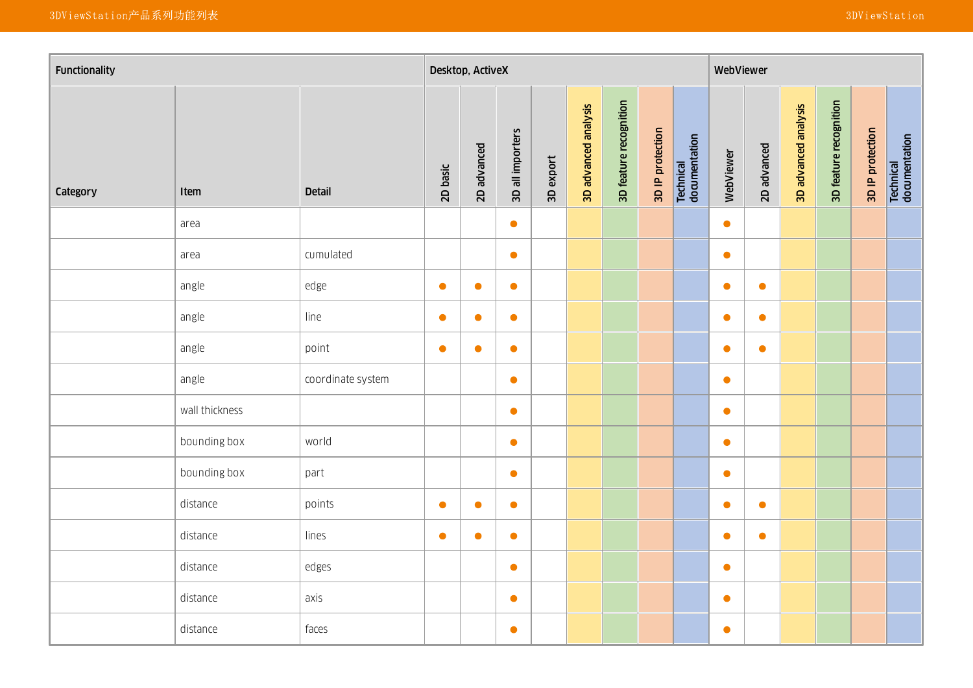| Functionality |                |                   |           | Desktop, ActiveX |                  |           |                      |                        |                  |                            | WebViewer |             |                      |                        |                  |                            |
|---------------|----------------|-------------------|-----------|------------------|------------------|-----------|----------------------|------------------------|------------------|----------------------------|-----------|-------------|----------------------|------------------------|------------------|----------------------------|
| Category      | Item           | <b>Detail</b>     | 2D basic  | 2D advanced      | 3D all importers | 3D export | 3D advanced analysis | 3D feature recognition | 3D IP protection | Technical<br>documentation | WebViewer | 2D advanced | 3D advanced analysis | 3D feature recognition | 3D IP protection | Technical<br>documentation |
|               | area           |                   |           |                  | $\bullet$        |           |                      |                        |                  |                            | $\bullet$ |             |                      |                        |                  |                            |
|               | area           | cumulated         |           |                  | $\bullet$        |           |                      |                        |                  |                            | $\bullet$ |             |                      |                        |                  |                            |
|               | angle          | edge              | $\bullet$ | $\bullet$        | $\bullet$        |           |                      |                        |                  |                            | $\bullet$ | $\bullet$   |                      |                        |                  |                            |
|               | angle          | line              | $\bullet$ | $\bullet$        | $\bullet$        |           |                      |                        |                  |                            | $\bullet$ | $\bullet$   |                      |                        |                  |                            |
|               | angle          | point             | $\bullet$ | $\bullet$        | $\bullet$        |           |                      |                        |                  |                            | $\bullet$ | $\bullet$   |                      |                        |                  |                            |
|               | angle          | coordinate system |           |                  | $\bullet$        |           |                      |                        |                  |                            | $\bullet$ |             |                      |                        |                  |                            |
|               | wall thickness |                   |           |                  | $\bullet$        |           |                      |                        |                  |                            | $\bullet$ |             |                      |                        |                  |                            |
|               | bounding box   | world             |           |                  | $\bullet$        |           |                      |                        |                  |                            | $\bullet$ |             |                      |                        |                  |                            |
|               | bounding box   | part              |           |                  | $\bullet$        |           |                      |                        |                  |                            | $\bullet$ |             |                      |                        |                  |                            |
|               | distance       | points            | $\bullet$ | $\bullet$        | $\bullet$        |           |                      |                        |                  |                            | $\bullet$ | $\bullet$   |                      |                        |                  |                            |
|               | distance       | lines             | $\bullet$ | $\bullet$        | $\bullet$        |           |                      |                        |                  |                            | $\bullet$ | $\bullet$   |                      |                        |                  |                            |
|               | distance       | edges             |           |                  | $\bullet$        |           |                      |                        |                  |                            | $\bullet$ |             |                      |                        |                  |                            |
|               | distance       | axis              |           |                  | $\bullet$        |           |                      |                        |                  |                            | $\bullet$ |             |                      |                        |                  |                            |
|               | distance       | faces             |           |                  | $\bullet$        |           |                      |                        |                  |                            | $\bullet$ |             |                      |                        |                  |                            |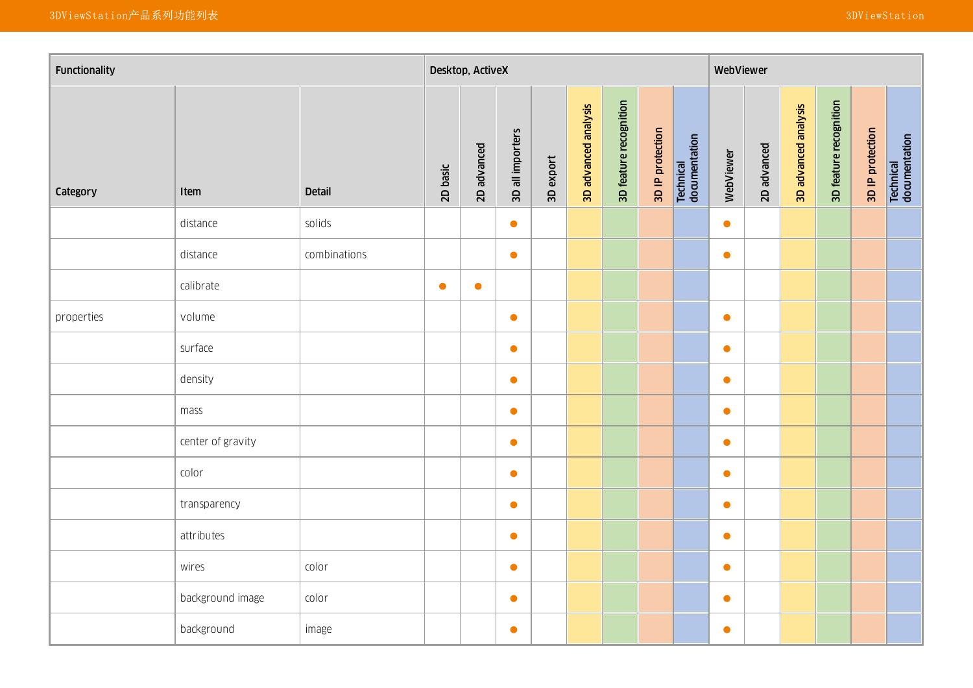| Functionality |                   |               |           |             | Desktop, ActiveX |           |                      |                        |                  |                            | WebViewer |             |                      |                        |                  |                            |
|---------------|-------------------|---------------|-----------|-------------|------------------|-----------|----------------------|------------------------|------------------|----------------------------|-----------|-------------|----------------------|------------------------|------------------|----------------------------|
| Category      | Item              | <b>Detail</b> | 2D basic  | 2D advanced | 3D all importers | 3D export | 3D advanced analysis | 3D feature recognition | 3D IP protection | Technical<br>documentation | WebViewer | 2D advanced | 3D advanced analysis | 3D feature recognition | 3D IP protection | Technical<br>documentation |
|               | distance          | solids        |           |             | $\bullet$        |           |                      |                        |                  |                            | $\bullet$ |             |                      |                        |                  |                            |
|               | distance          | combinations  |           |             | $\bullet$        |           |                      |                        |                  |                            | $\bullet$ |             |                      |                        |                  |                            |
|               | calibrate         |               | $\bullet$ | $\bullet$   |                  |           |                      |                        |                  |                            |           |             |                      |                        |                  |                            |
| properties    | volume            |               |           |             | $\bullet$        |           |                      |                        |                  |                            | $\bullet$ |             |                      |                        |                  |                            |
|               | surface           |               |           |             | $\bullet$        |           |                      |                        |                  |                            | $\bullet$ |             |                      |                        |                  |                            |
|               | density           |               |           |             | $\bullet$        |           |                      |                        |                  |                            | $\bullet$ |             |                      |                        |                  |                            |
|               | mass              |               |           |             | $\bullet$        |           |                      |                        |                  |                            | $\bullet$ |             |                      |                        |                  |                            |
|               | center of gravity |               |           |             | $\bullet$        |           |                      |                        |                  |                            | $\bullet$ |             |                      |                        |                  |                            |
|               | color             |               |           |             | $\bullet$        |           |                      |                        |                  |                            | $\bullet$ |             |                      |                        |                  |                            |
|               | transparency      |               |           |             | $\bullet$        |           |                      |                        |                  |                            | $\bullet$ |             |                      |                        |                  |                            |
|               | attributes        |               |           |             | $\bullet$        |           |                      |                        |                  |                            | $\bullet$ |             |                      |                        |                  |                            |
|               | wires             | color         |           |             | $\bullet$        |           |                      |                        |                  |                            | $\bullet$ |             |                      |                        |                  |                            |
|               | background image  | color         |           |             | $\bullet$        |           |                      |                        |                  |                            | $\bullet$ |             |                      |                        |                  |                            |
|               | background        | image         |           |             | $\bullet$        |           |                      |                        |                  |                            | $\bullet$ |             |                      |                        |                  |                            |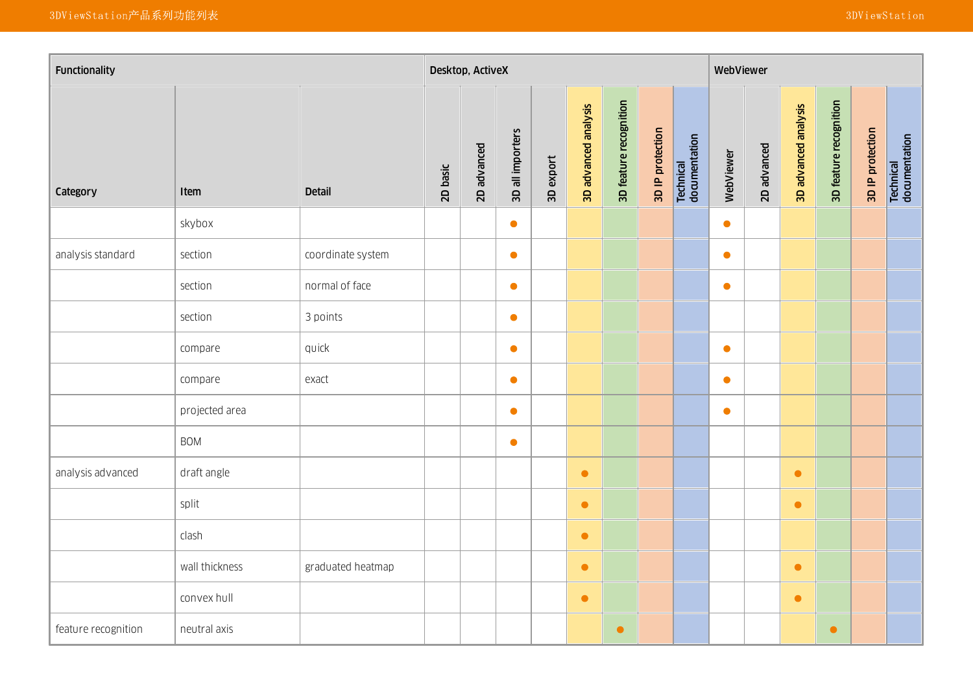| Functionality       |                |                   |          |             |                  |           |                      |                        |                  |                            | WebViewer |             |                      |                        |                  |                            |
|---------------------|----------------|-------------------|----------|-------------|------------------|-----------|----------------------|------------------------|------------------|----------------------------|-----------|-------------|----------------------|------------------------|------------------|----------------------------|
| Category            | Item           | <b>Detail</b>     | 2D basic | 2D advanced | 3D all importers | 3D export | 3D advanced analysis | 3D feature recognition | 3D IP protection | Technical<br>documentation | WebViewer | 2D advanced | 3D advanced analysis | 3D feature recognition | 3D IP protection | Technical<br>documentation |
|                     | skybox         |                   |          |             | $\bullet$        |           |                      |                        |                  |                            | $\bullet$ |             |                      |                        |                  |                            |
| analysis standard   | section        | coordinate system |          |             | $\bullet$        |           |                      |                        |                  |                            | $\bullet$ |             |                      |                        |                  |                            |
|                     | section        | normal of face    |          |             | $\bullet$        |           |                      |                        |                  |                            | $\bullet$ |             |                      |                        |                  |                            |
|                     | section        | 3 points          |          |             | $\bullet$        |           |                      |                        |                  |                            |           |             |                      |                        |                  |                            |
|                     | compare        | quick             |          |             | $\bullet$        |           |                      |                        |                  |                            | $\bullet$ |             |                      |                        |                  |                            |
|                     | compare        | exact             |          |             | $\bullet$        |           |                      |                        |                  |                            | $\bullet$ |             |                      |                        |                  |                            |
|                     | projected area |                   |          |             | $\bullet$        |           |                      |                        |                  |                            | $\bullet$ |             |                      |                        |                  |                            |
|                     | <b>BOM</b>     |                   |          |             | $\bullet$        |           |                      |                        |                  |                            |           |             |                      |                        |                  |                            |
| analysis advanced   | draft angle    |                   |          |             |                  |           | $\bullet$            |                        |                  |                            |           |             | $\bullet$            |                        |                  |                            |
|                     | split          |                   |          |             |                  |           | $\bullet$            |                        |                  |                            |           |             | $\bullet$            |                        |                  |                            |
|                     | clash          |                   |          |             |                  |           | $\bullet$            |                        |                  |                            |           |             |                      |                        |                  |                            |
|                     | wall thickness | graduated heatmap |          |             |                  |           | $\bullet$            |                        |                  |                            |           |             | $\bullet$            |                        |                  |                            |
|                     | convex hull    |                   |          |             |                  |           | $\bullet$            |                        |                  |                            |           |             | $\bullet$            |                        |                  |                            |
| feature recognition | neutral axis   |                   |          |             |                  |           |                      | $\bullet$              |                  |                            |           |             |                      | $\bullet$              |                  |                            |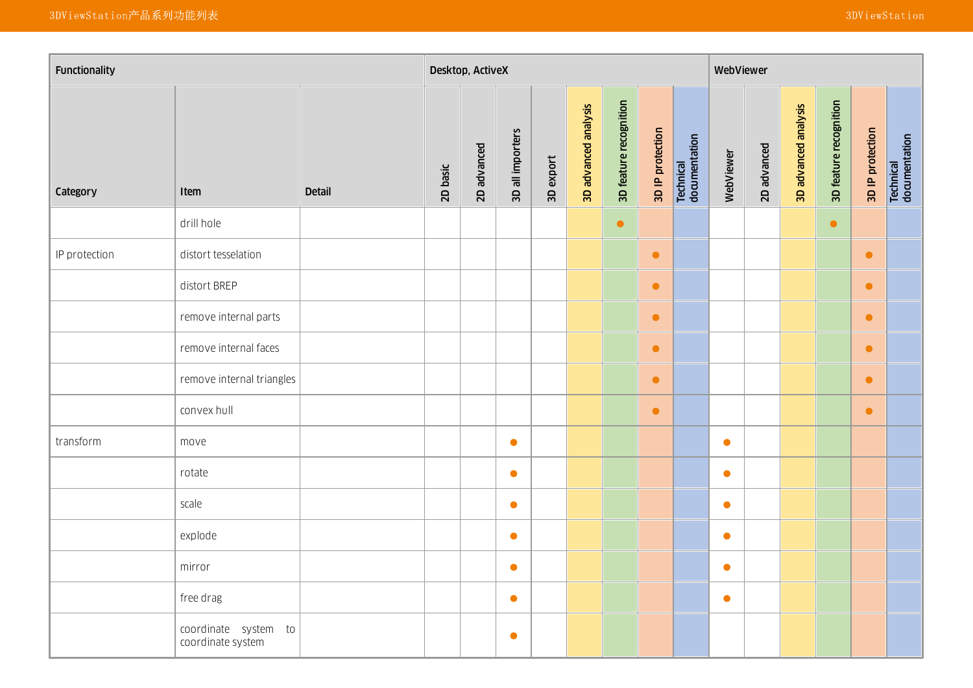| Functionality |                                           |               |          |             |                  |           |                      |                        |                  |                            | WebViewer |             |                      |                        |                  |                            |
|---------------|-------------------------------------------|---------------|----------|-------------|------------------|-----------|----------------------|------------------------|------------------|----------------------------|-----------|-------------|----------------------|------------------------|------------------|----------------------------|
| Category      | Item                                      | <b>Detail</b> | 2D basic | 2D advanced | 3D all importers | 3D export | 3D advanced analysis | 3D feature recognition | 3D IP protection | Technical<br>documentation | WebViewer | 2D advanced | 3D advanced analysis | 3D feature recognition | 3D IP protection | Technical<br>documentation |
|               | drill hole                                |               |          |             |                  |           |                      | $\bullet$              |                  |                            |           |             |                      | $\bullet$              |                  |                            |
| IP protection | distort tesselation                       |               |          |             |                  |           |                      |                        | $\bullet$        |                            |           |             |                      |                        | $\bullet$        |                            |
|               | distort BREP                              |               |          |             |                  |           |                      |                        | $\bullet$        |                            |           |             |                      |                        | $\bullet$        |                            |
|               | remove internal parts                     |               |          |             |                  |           |                      |                        | $\bullet$        |                            |           |             |                      |                        | $\bullet$        |                            |
|               | remove internal faces                     |               |          |             |                  |           |                      |                        | $\bullet$        |                            |           |             |                      |                        | $\bullet$        |                            |
|               | remove internal triangles                 |               |          |             |                  |           |                      |                        | $\bullet$        |                            |           |             |                      |                        | $\bullet$        |                            |
|               | convex hull                               |               |          |             |                  |           |                      |                        | $\bullet$        |                            |           |             |                      |                        | $\bullet$        |                            |
| transform     | move                                      |               |          |             | $\bullet$        |           |                      |                        |                  |                            | $\bullet$ |             |                      |                        |                  |                            |
|               | rotate                                    |               |          |             | $\bullet$        |           |                      |                        |                  |                            | $\bullet$ |             |                      |                        |                  |                            |
|               | scale                                     |               |          |             | $\bullet$        |           |                      |                        |                  |                            | $\bullet$ |             |                      |                        |                  |                            |
|               | explode                                   |               |          |             | $\bullet$        |           |                      |                        |                  |                            | $\bullet$ |             |                      |                        |                  |                            |
|               | mirror                                    |               |          |             | $\bullet$        |           |                      |                        |                  |                            | $\bullet$ |             |                      |                        |                  |                            |
|               | free drag                                 |               |          |             | $\bullet$        |           |                      |                        |                  |                            | $\bullet$ |             |                      |                        |                  |                            |
|               | coordinate system to<br>coordinate system |               |          |             | $\bullet$        |           |                      |                        |                  |                            |           |             |                      |                        |                  |                            |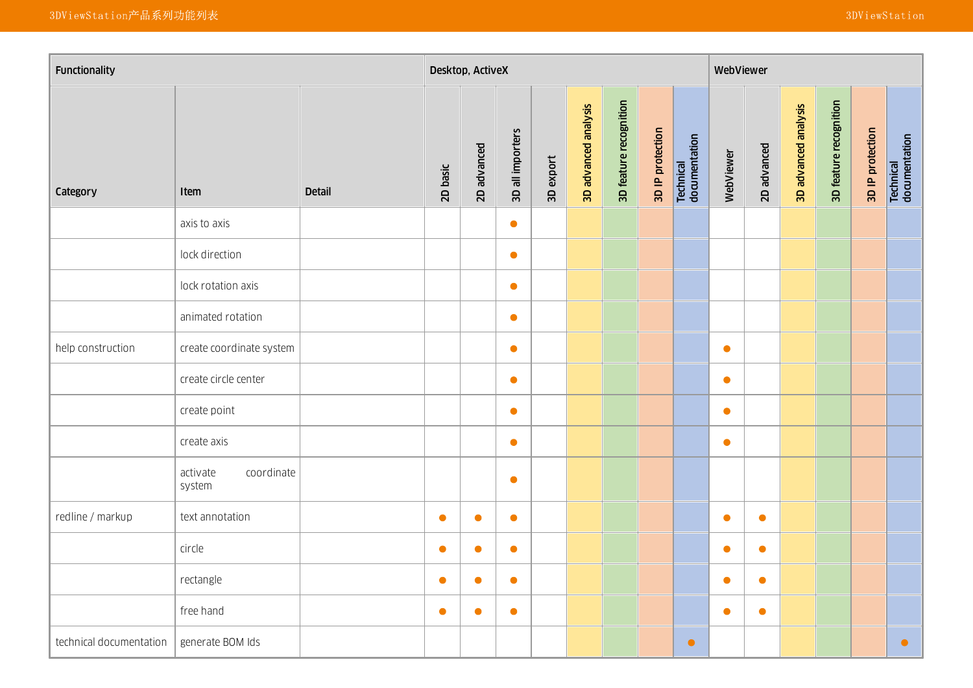| Functionality           |                                  |               |           | Desktop, ActiveX |                  |           |                      |                        |                  |                            | WebViewer |             |                      |                        |                  |                            |
|-------------------------|----------------------------------|---------------|-----------|------------------|------------------|-----------|----------------------|------------------------|------------------|----------------------------|-----------|-------------|----------------------|------------------------|------------------|----------------------------|
| Category                | Item                             | <b>Detail</b> | 2D basic  | 2D advanced      | 3D all importers | 3D export | 3D advanced analysis | 3D feature recognition | 3D IP protection | Technical<br>documentation | WebViewer | 2D advanced | 3D advanced analysis | 3D feature recognition | 3D IP protection | Technical<br>documentation |
|                         | axis to axis                     |               |           |                  | $\bullet$        |           |                      |                        |                  |                            |           |             |                      |                        |                  |                            |
|                         | lock direction                   |               |           |                  | $\bullet$        |           |                      |                        |                  |                            |           |             |                      |                        |                  |                            |
|                         | lock rotation axis               |               |           |                  | $\bullet$        |           |                      |                        |                  |                            |           |             |                      |                        |                  |                            |
|                         | animated rotation                |               |           |                  | $\bullet$        |           |                      |                        |                  |                            |           |             |                      |                        |                  |                            |
| help construction       | create coordinate system         |               |           |                  | $\bullet$        |           |                      |                        |                  |                            | $\bullet$ |             |                      |                        |                  |                            |
|                         | create circle center             |               |           |                  | $\bullet$        |           |                      |                        |                  |                            | $\bullet$ |             |                      |                        |                  |                            |
|                         | create point                     |               |           |                  | $\bullet$        |           |                      |                        |                  |                            | $\bullet$ |             |                      |                        |                  |                            |
|                         | create axis                      |               |           |                  | $\bullet$        |           |                      |                        |                  |                            | $\bullet$ |             |                      |                        |                  |                            |
|                         | activate<br>coordinate<br>system |               |           |                  | $\bullet$        |           |                      |                        |                  |                            |           |             |                      |                        |                  |                            |
| redline / markup        | text annotation                  |               | $\bullet$ | $\bullet$        | $\bullet$        |           |                      |                        |                  |                            | $\bullet$ | $\bullet$   |                      |                        |                  |                            |
|                         | circle                           |               | $\bullet$ | $\bullet$        | $\bullet$        |           |                      |                        |                  |                            | $\bullet$ | $\bullet$   |                      |                        |                  |                            |
|                         | rectangle                        |               | $\bullet$ | $\bullet$        | $\bullet$        |           |                      |                        |                  |                            | $\bullet$ | $\bullet$   |                      |                        |                  |                            |
|                         | free hand                        |               | $\bullet$ | $\bullet$        | $\bullet$        |           |                      |                        |                  |                            | $\bullet$ | $\bullet$   |                      |                        |                  |                            |
| technical documentation | generate BOM Ids                 |               |           |                  |                  |           |                      |                        |                  | $\bullet$                  |           |             |                      |                        |                  | $\bullet$                  |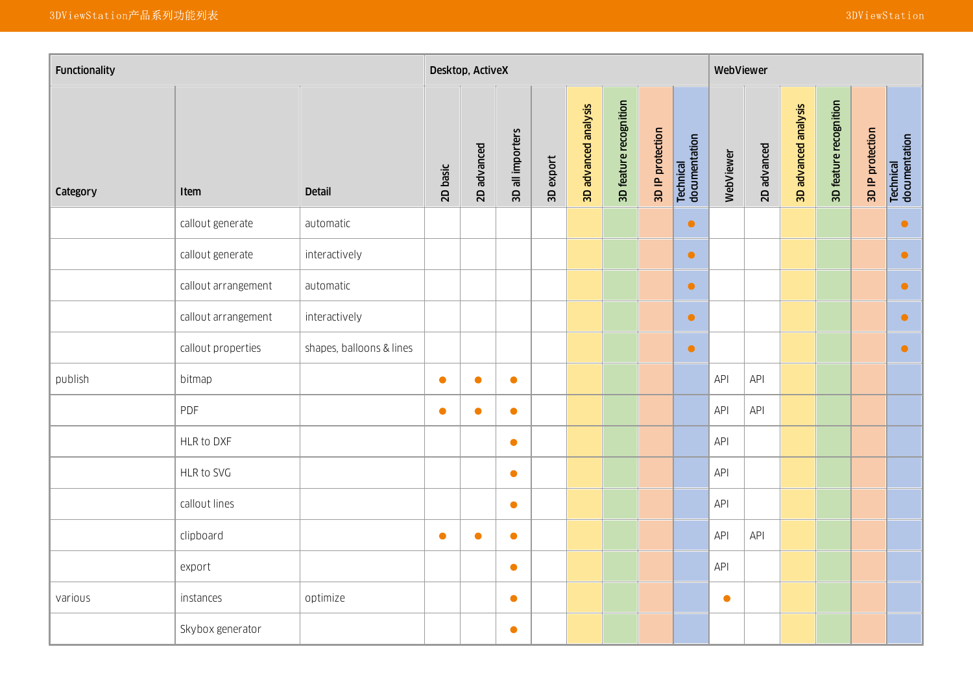| Functionality |                     |                          |           | Desktop, ActiveX |                  |           |                      |                        | WebViewer        |                            |            |             |                      |                        |                  |                                   |
|---------------|---------------------|--------------------------|-----------|------------------|------------------|-----------|----------------------|------------------------|------------------|----------------------------|------------|-------------|----------------------|------------------------|------------------|-----------------------------------|
| Category      | Item                | <b>Detail</b>            | 2D basic  | 2D advanced      | 3D all importers | 3D export | 3D advanced analysis | 3D feature recognition | 3D IP protection | Technical<br>documentation | WebViewer  | 2D advanced | 3D advanced analysis | 3D feature recognition | 3D IP protection | <b>Technical</b><br>documentation |
|               | callout generate    | automatic                |           |                  |                  |           |                      |                        |                  | $\bullet$                  |            |             |                      |                        |                  | $\bullet$                         |
|               | callout generate    | interactively            |           |                  |                  |           |                      |                        |                  | $\bullet$                  |            |             |                      |                        |                  | $\bullet$                         |
|               | callout arrangement | automatic                |           |                  |                  |           |                      |                        |                  | $\bullet$                  |            |             |                      |                        |                  | $\bullet$                         |
|               | callout arrangement | interactively            |           |                  |                  |           |                      |                        |                  | $\bullet$                  |            |             |                      |                        |                  | $\bullet$                         |
|               | callout properties  | shapes, balloons & lines |           |                  |                  |           |                      |                        |                  | $\bullet$                  |            |             |                      |                        |                  | $\bullet$                         |
| publish       | bitmap              |                          | $\bullet$ | $\bullet$        | $\bullet$        |           |                      |                        |                  |                            | API        | API         |                      |                        |                  |                                   |
|               | PDF                 |                          | $\bullet$ | $\bullet$        | $\bullet$        |           |                      |                        |                  |                            | API        | API         |                      |                        |                  |                                   |
|               | HLR to DXF          |                          |           |                  | $\bullet$        |           |                      |                        |                  |                            | API        |             |                      |                        |                  |                                   |
|               | HLR to SVG          |                          |           |                  | $\bullet$        |           |                      |                        |                  |                            | <b>API</b> |             |                      |                        |                  |                                   |
|               | callout lines       |                          |           |                  | $\bullet$        |           |                      |                        |                  |                            | API        |             |                      |                        |                  |                                   |
|               | clipboard           |                          | $\bullet$ | $\bullet$        | $\bullet$        |           |                      |                        |                  |                            | API        | API         |                      |                        |                  |                                   |
|               | export              |                          |           |                  | $\bullet$        |           |                      |                        |                  |                            | API        |             |                      |                        |                  |                                   |
| various       | instances           | optimize                 |           |                  | $\bullet$        |           |                      |                        |                  |                            | $\bullet$  |             |                      |                        |                  |                                   |
|               | Skybox generator    |                          |           |                  | $\bullet$        |           |                      |                        |                  |                            |            |             |                      |                        |                  |                                   |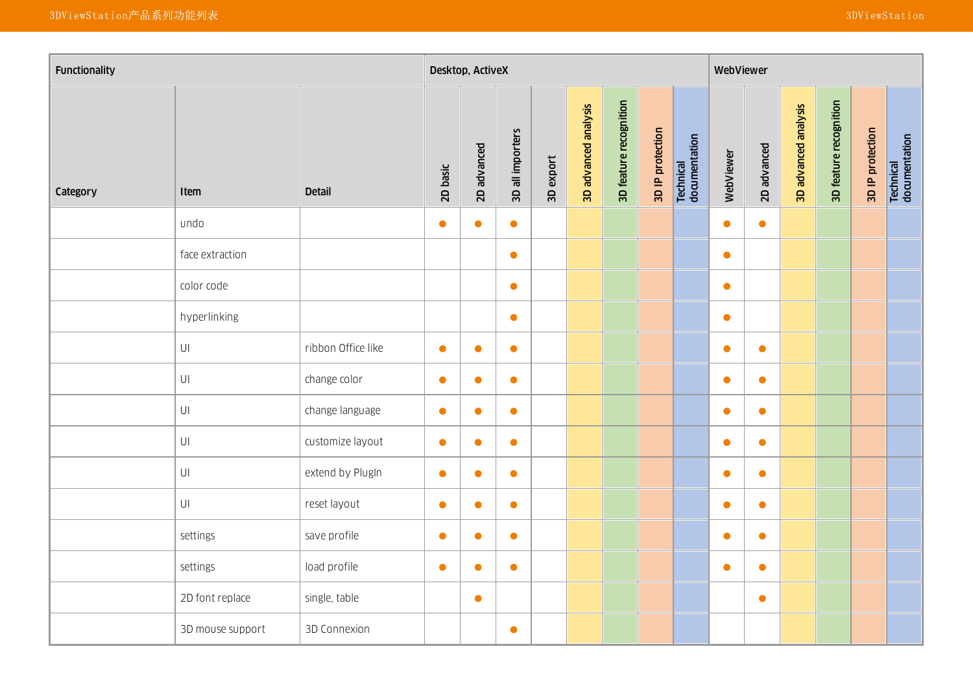| Functionality |                        |                    |           | Desktop, ActiveX |                  |           |                      | WebViewer              |                  |                            |           |             |                      |                        |                  |                            |
|---------------|------------------------|--------------------|-----------|------------------|------------------|-----------|----------------------|------------------------|------------------|----------------------------|-----------|-------------|----------------------|------------------------|------------------|----------------------------|
| Category      | Item                   | <b>Detail</b>      | 2D basic  | 2D advanced      | 3D all importers | 3D export | 3D advanced analysis | 3D feature recognition | 3D IP protection | Technical<br>documentation | WebViewer | 2D advanced | 3D advanced analysis | 3D feature recognition | 3D IP protection | Technical<br>documentation |
|               | undo                   |                    | $\bullet$ | $\bullet$        | $\bullet$        |           |                      |                        |                  |                            | $\bullet$ | $\bullet$   |                      |                        |                  |                            |
|               | face extraction        |                    |           |                  | $\bullet$        |           |                      |                        |                  |                            | $\bullet$ |             |                      |                        |                  |                            |
|               | color code             |                    |           |                  | $\bullet$        |           |                      |                        |                  |                            | $\bullet$ |             |                      |                        |                  |                            |
|               | hyperlinking           |                    |           |                  | $\bullet$        |           |                      |                        |                  |                            | $\bullet$ |             |                      |                        |                  |                            |
|               | $\mathsf{U}\mathsf{I}$ | ribbon Office like | $\bullet$ | $\bullet$        | $\bullet$        |           |                      |                        |                  |                            | $\bullet$ | $\bullet$   |                      |                        |                  |                            |
|               | $\mathsf{U}\mathsf{I}$ | change color       | $\bullet$ | $\bullet$        | $\bullet$        |           |                      |                        |                  |                            | $\bullet$ | $\bullet$   |                      |                        |                  |                            |
|               | $\mathsf{U}\mathsf{I}$ | change language    | $\bullet$ | $\bullet$        | $\bullet$        |           |                      |                        |                  |                            | $\bullet$ | $\bullet$   |                      |                        |                  |                            |
|               | $\mathsf{U}\mathsf{I}$ | customize layout   | $\bullet$ | $\bullet$        | $\bullet$        |           |                      |                        |                  |                            | $\bullet$ | $\bullet$   |                      |                        |                  |                            |
|               | $\mathsf{U}\mathsf{I}$ | extend by PlugIn   | $\bullet$ | $\bullet$        | $\bullet$        |           |                      |                        |                  |                            | $\bullet$ | $\bullet$   |                      |                        |                  |                            |
|               | $\mathsf{U}\mathsf{I}$ | reset layout       | $\bullet$ | $\bullet$        | $\bullet$        |           |                      |                        |                  |                            | $\bullet$ | $\bullet$   |                      |                        |                  |                            |
|               | settings               | save profile       | $\bullet$ | $\bullet$        | $\bullet$        |           |                      |                        |                  |                            | $\bullet$ | $\bullet$   |                      |                        |                  |                            |
|               | settings               | load profile       | $\bullet$ | $\bullet$        | $\bullet$        |           |                      |                        |                  |                            | $\bullet$ | $\bullet$   |                      |                        |                  |                            |
|               | 2D font replace        | single, table      |           | $\bullet$        |                  |           |                      |                        |                  |                            |           | $\bullet$   |                      |                        |                  |                            |
|               | 3D mouse support       | 3D Connexion       |           |                  | $\bullet$        |           |                      |                        |                  |                            |           |             |                      |                        |                  |                            |